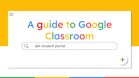<span id="page-0-0"></span> $\equiv$ 

# A guide to Google Classroom

det student portal

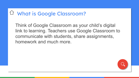#### What is Google Classroom?

Think of Google Classroom as your child's digital link to learning. Teachers use Google Classroom to communicate with students, share assignments, homework and much more.

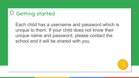### $\bigcirc$  Getting started

Each child has a username and password which is unique to them. If your child does not know their unique name and password, please contact the school and it will be shared with you.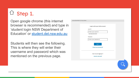### $\Box$  Step 1.

Open google chrome (this internet browser is recommended) and type in 'student login NSW Department of Education' or [student.det.nsw.edu.au](http://student.det.nsw.edu.au)

Students will then see the following. This is where they will enter their username and password which was mentioned on the previous page.

| SW DEPARTMENT OF EDUCATION |                             |  |
|----------------------------|-----------------------------|--|
|                            |                             |  |
|                            | Login with your DoE account |  |
|                            | User ID                     |  |
|                            | Enter your user ID          |  |
|                            | Example: jane.citizen1      |  |
|                            | Password                    |  |
|                            | Enter your password         |  |
|                            | Log in                      |  |
|                            | Forgot your password?       |  |
|                            |                             |  |
|                            |                             |  |
|                            | Have trouble logging in?    |  |
|                            | <b>Help for DoE staff</b>   |  |
|                            |                             |  |
|                            |                             |  |
|                            |                             |  |
|                            |                             |  |
|                            |                             |  |
|                            |                             |  |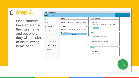### △ Step 2.

Once students have entered in their username and password, they will be taken to the following home page.

|                                | Search                                                                                                  | Hide | $\mathcal{S}$<br>My bookmarks        | Hide |
|--------------------------------|---------------------------------------------------------------------------------------------------------|------|--------------------------------------|------|
| Home                           |                                                                                                         |      |                                      |      |
| Email                          | Google<br>Q Enter your search words here Search                                                         |      | List name                            |      |
|                                |                                                                                                         |      | Name your custom bookmarks list here |      |
| 醋<br>Oliver Library            | 25 Calendar                                                                                             | Hide | Create new list                      |      |
| Help                           | We need you to verify who you are to Google so that<br>we can look at your calendars. Please select the |      |                                      |      |
|                                | Authorise button below.                                                                                 |      | Learning                             | Hide |
| Notifications                  | Authorise                                                                                               |      |                                      |      |
| Change password<br>$\sigma$    |                                                                                                         |      | Premier's Reading Challenge          |      |
|                                |                                                                                                         |      | eSafety Kids                         |      |
| <b>Secret Questions</b><br>(2) |                                                                                                         |      | G Suite (Google Apps for Education)  |      |
| Change Colours<br>$z =$        |                                                                                                         |      | Show more -                          |      |
| Sign Out<br>()                 |                                                                                                         |      | <b>PR</b> Games                      | Hide |
|                                |                                                                                                         |      | ABC's The Playground                 |      |
| Feedback                       |                                                                                                         |      | <b>BBC</b> - Games                   |      |

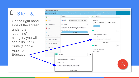## $\triangle$  Step 3.

On the right hand side of the screen under the 'Learning' category you will see a link to G Suite (Google Apps for Education).

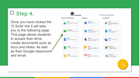### $\hat{a}$  Step 4.

Once you have clicked the 'G Suite' link it will take you to the following page. This page allows students to access their drive, create documents such as docs and slides. As well as their Google classroom and email.

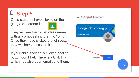### $\Box$  Step 5.

Once students have clicked on the google classroom icon.

They will see their 2020 class name with a prompt asking them to 'join'. Once they have clicked the join button they will have access to it.

If your child accidently clicked decline button don't fret. There is a URL link which has also been emailed to them.

#### Google Classroom

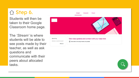#### Step 6.

Students will then be taken to their Google Classroom home page.

The *'Stream'* is where students will be able to see posts made by their teacher, as well as ask questions and communicate with their peers about allocated tasks.



**Classwork** 

People

Strean

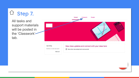### $\hat{a}$  Step 7.

All tasks and support materials will be posted in the 'Classwork' tab.

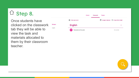### $\hat{\Box}$  Step 8.

Once students have clicked on the classwork tab they will be able to view the task and materials allocated to them by their classroom teacher.

**All topics** English

|                              | <b>Stream</b> | Classwork | People |                                      |
|------------------------------|---------------|-----------|--------|--------------------------------------|
| 囟<br>View your work          |               |           |        | Google Calendar   Class Drive folder |
| <b>English</b>               |               |           |        |                                      |
| 自<br>Persuasive writing task |               |           |        | No due date                          |

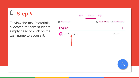### $\hat{\Box}$  Step 9.

To view the task/materials allocated to them students simply need to click on the task name to access it.

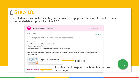#### [S](#page-0-0)tep 10.

Once students click on the link, they will be taken to a page which details the task. To view the support materials simply click on the PDF link.

| Persuasive Writing Language<br>E                                                                              |                                                                                                                     | No due date                                     |
|---------------------------------------------------------------------------------------------------------------|---------------------------------------------------------------------------------------------------------------------|-------------------------------------------------|
| Posted 4:16 PM                                                                                                |                                                                                                                     | Assigned                                        |
|                                                                                                               | OLI: To identify high modality words used in a newspaper or magazine article.                                       |                                                 |
| Success criteria:                                                                                             |                                                                                                                     |                                                 |
| - Identify a minimum of 3 high modality words                                                                 |                                                                                                                     |                                                 |
| - Explain why they are effective                                                                              |                                                                                                                     |                                                 |
| magazine article.                                                                                             | Using the bank of words below to support you, identify as many high modality words as you can within a newspaper or |                                                 |
| PDF<br><b>Veriality is used to industriality</b><br>degree to which something a<br>ortain, provide or impeals | Degrees of Modality wor                                                                                             | <b>PDF</b> link                                 |
| View assignment                                                                                               | assignment'                                                                                                         | To submit work/respond to a task click on 'view |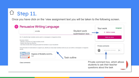### $\Box$  Step 11.

Once you have click on the 'view assignment text you will be taken to the following screen.

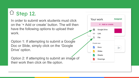### $\Box$  Step 12.

In order to submit work students must click on the '+ Add or create' button. The will then have the following options to upload their work.

Option 1: If attempting to submit a Google Doc or Slide, simply click on the 'Google Drive' option.

Option 2: If attempting to submit an image of their work then click on file option.

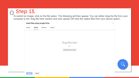#### $\triangle$  Step 13.

To submit an image, click on the file option. The following will then appear. You can either drag the file from your computer to the 'drag file here' section and click upload *OR* click the 'select files from your device option'.